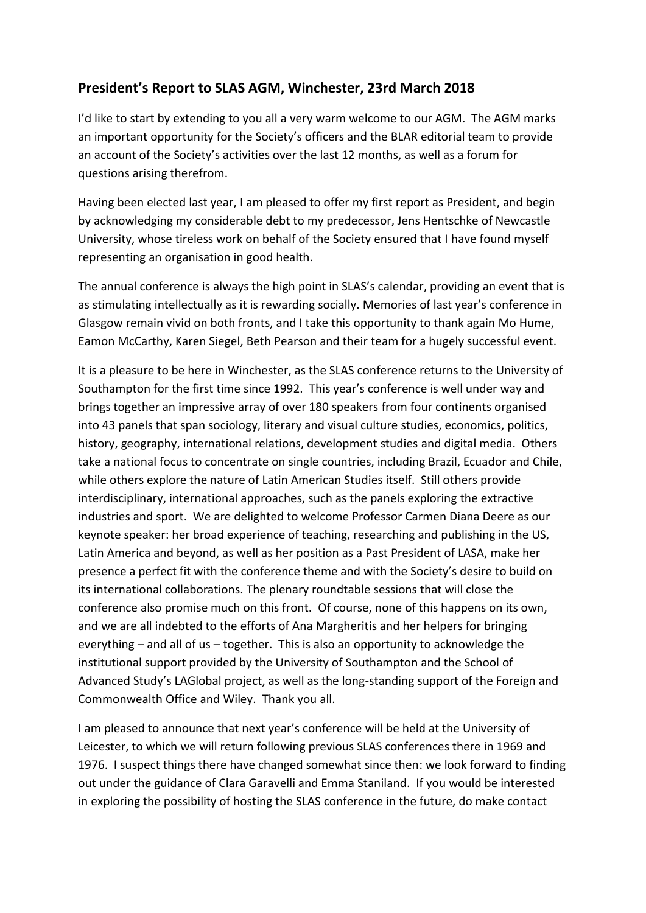## **President's Report to SLAS AGM, Winchester, 23rd March 2018**

I'd like to start by extending to you all a very warm welcome to our AGM. The AGM marks an important opportunity for the Society's officers and the BLAR editorial team to provide an account of the Society's activities over the last 12 months, as well as a forum for questions arising therefrom.

Having been elected last year, I am pleased to offer my first report as President, and begin by acknowledging my considerable debt to my predecessor, Jens Hentschke of Newcastle University, whose tireless work on behalf of the Society ensured that I have found myself representing an organisation in good health.

The annual conference is always the high point in SLAS's calendar, providing an event that is as stimulating intellectually as it is rewarding socially. Memories of last year's conference in Glasgow remain vivid on both fronts, and I take this opportunity to thank again Mo Hume, Eamon McCarthy, Karen Siegel, Beth Pearson and their team for a hugely successful event.

It is a pleasure to be here in Winchester, as the SLAS conference returns to the University of Southampton for the first time since 1992. This year's conference is well under way and brings together an impressive array of over 180 speakers from four continents organised into 43 panels that span sociology, literary and visual culture studies, economics, politics, history, geography, international relations, development studies and digital media. Others take a national focus to concentrate on single countries, including Brazil, Ecuador and Chile, while others explore the nature of Latin American Studies itself. Still others provide interdisciplinary, international approaches, such as the panels exploring the extractive industries and sport. We are delighted to welcome Professor Carmen Diana Deere as our keynote speaker: her broad experience of teaching, researching and publishing in the US, Latin America and beyond, as well as her position as a Past President of LASA, make her presence a perfect fit with the conference theme and with the Society's desire to build on its international collaborations. The plenary roundtable sessions that will close the conference also promise much on this front. Of course, none of this happens on its own, and we are all indebted to the efforts of Ana Margheritis and her helpers for bringing everything – and all of us – together. This is also an opportunity to acknowledge the institutional support provided by the University of Southampton and the School of Advanced Study's LAGlobal project, as well as the long-standing support of the Foreign and Commonwealth Office and Wiley. Thank you all.

I am pleased to announce that next year's conference will be held at the University of Leicester, to which we will return following previous SLAS conferences there in 1969 and 1976. I suspect things there have changed somewhat since then: we look forward to finding out under the guidance of Clara Garavelli and Emma Staniland. If you would be interested in exploring the possibility of hosting the SLAS conference in the future, do make contact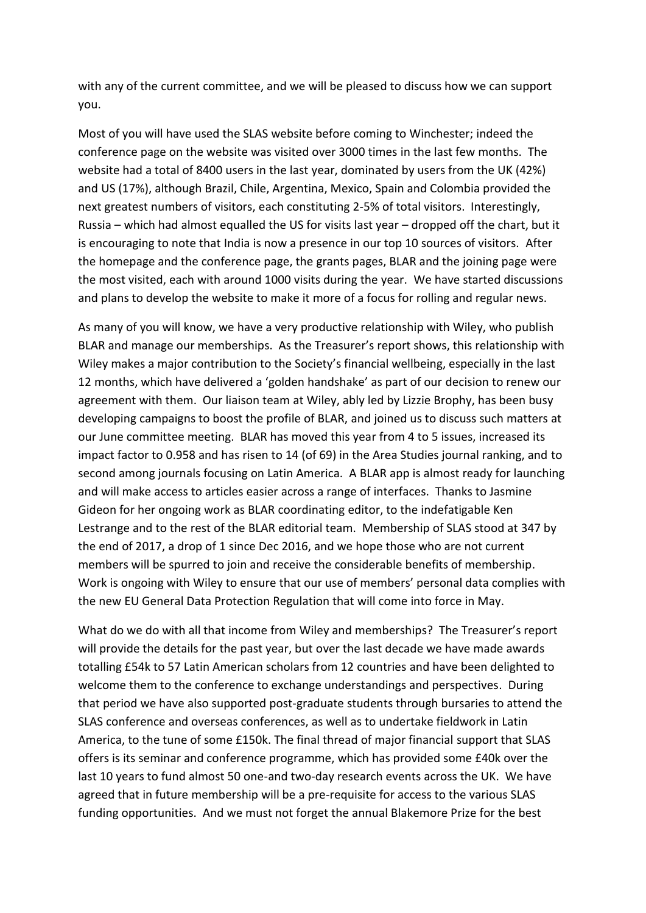with any of the current committee, and we will be pleased to discuss how we can support you.

Most of you will have used the SLAS website before coming to Winchester; indeed the conference page on the website was visited over 3000 times in the last few months. The website had a total of 8400 users in the last year, dominated by users from the UK (42%) and US (17%), although Brazil, Chile, Argentina, Mexico, Spain and Colombia provided the next greatest numbers of visitors, each constituting 2-5% of total visitors. Interestingly, Russia – which had almost equalled the US for visits last year – dropped off the chart, but it is encouraging to note that India is now a presence in our top 10 sources of visitors. After the homepage and the conference page, the grants pages, BLAR and the joining page were the most visited, each with around 1000 visits during the year. We have started discussions and plans to develop the website to make it more of a focus for rolling and regular news.

As many of you will know, we have a very productive relationship with Wiley, who publish BLAR and manage our memberships. As the Treasurer's report shows, this relationship with Wiley makes a major contribution to the Society's financial wellbeing, especially in the last 12 months, which have delivered a 'golden handshake' as part of our decision to renew our agreement with them. Our liaison team at Wiley, ably led by Lizzie Brophy, has been busy developing campaigns to boost the profile of BLAR, and joined us to discuss such matters at our June committee meeting. BLAR has moved this year from 4 to 5 issues, increased its impact factor to 0.958 and has risen to 14 (of 69) in the Area Studies journal ranking, and to second among journals focusing on Latin America. A BLAR app is almost ready for launching and will make access to articles easier across a range of interfaces. Thanks to Jasmine Gideon for her ongoing work as BLAR coordinating editor, to the indefatigable Ken Lestrange and to the rest of the BLAR editorial team. Membership of SLAS stood at 347 by the end of 2017, a drop of 1 since Dec 2016, and we hope those who are not current members will be spurred to join and receive the considerable benefits of membership. Work is ongoing with Wiley to ensure that our use of members' personal data complies with the new EU General Data Protection Regulation that will come into force in May.

What do we do with all that income from Wiley and memberships? The Treasurer's report will provide the details for the past year, but over the last decade we have made awards totalling £54k to 57 Latin American scholars from 12 countries and have been delighted to welcome them to the conference to exchange understandings and perspectives. During that period we have also supported post-graduate students through bursaries to attend the SLAS conference and overseas conferences, as well as to undertake fieldwork in Latin America, to the tune of some £150k. The final thread of major financial support that SLAS offers is its seminar and conference programme, which has provided some £40k over the last 10 years to fund almost 50 one-and two-day research events across the UK. We have agreed that in future membership will be a pre-requisite for access to the various SLAS funding opportunities. And we must not forget the annual Blakemore Prize for the best